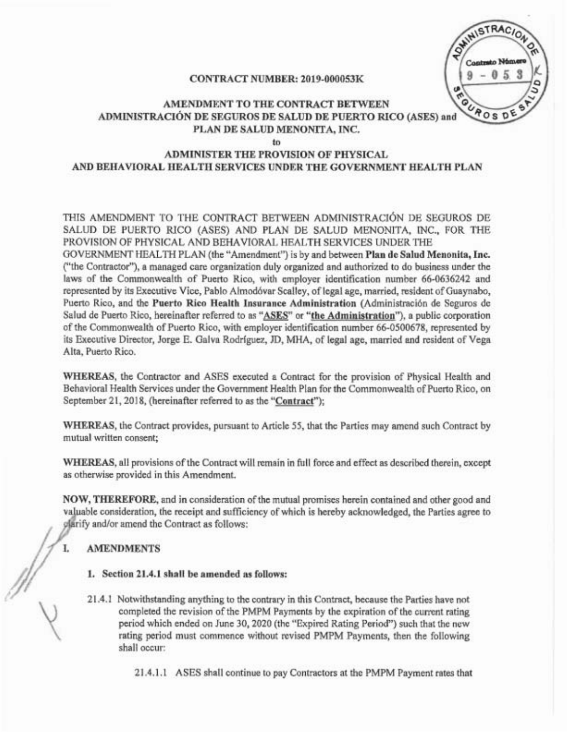**HISTRACIO** UROS D

#### CONTRACT NUMBER: 2019-000053K

## AMENDMENT TO THE CONTRACT BETWEEN ADMINISTRACION DE SEGUROS DE SALUD DE PUERTO RICO (ASES) and PLAN DE SALUD MENONITA, INC.

to

# ADMINISTER THE PROVISION OF PHYSICAL AND BEHAVIORAL HEALTH SERVICES UNDER THE GOVERNMENT HEALTH PLAN

THIS AMENDMENT TO THE CONTRACT BETWEEN ADMINISTRACION DE SEGUROS DE SALUD DE PUERTO RICO (ASES) AND PLAN DE SALVD MENONITA, INC., FOR THE PROVISION OF PHYSICAL AND BEHAVIORAL HEALTH SERVICES UNDER THE

GOVERNMENT HEALTH PLAN (the "Amendment") is by and between Plan de SaIud Menonita, Inc. ("the Contractor"), a managed care organization duly organized and authorized to do business under the laws of the Commonwealth of Puetto Rico, with employer identification number 66-0636242 and represented by its Executive Vice, Pablo Almodóvar Scalley, of legal age, married, resident of Guaynabo, Puerto Rico, and the Puerto Rico Health Insurance Administration (Administración de Seguros de Salud de Puerto Rico, hereinafter referred to as "ASES" or "the Administration"), a public corporation of the Commonwealth of Puerto Rico, with employer identification number 66-0500678, represented by its Executive Director, Jorge E. Galva Rodríguez, JD, MHA, of legal age, married and resident of Vega Alta, Puerto Rico.

WHEREAS, the Contractor and ASES executed a Contract for the provision of Physical Health and Behavioral Health Services under the Government Health Plan for the Commonwealth of Puerto Rico, on September 21, 2018, (hereinafter referred to as the "Contract");

WHEREAS, the Contract provides, pursuant to Article 55, that the Parties may amend such Contract by mutual written consent;

WHEREAS, all provisions ofthe Contract will remain in full force and effect as described therein, except as otherwise provided in this Amendment.

NOW, THEREFORE, and in consideration of the mutual promises herein contained and other good and valuable consideration, the receipt and sufficiency of which is hereby acknowledged, the Parties agree to plarify and/or amend the Contract as follows:

### AMENDMENTS

I.

- 1. Section 21.4.1 shall be amended as follows:
- 21.4.1 Notwithstanding anything to the contrary in this Contract, because the Parties have not completed the revision of the PMPM Payments by the expiration of the current rating period which ended on June 30, 2020 (the "Expired Rating Period") such that the new rating period must commence without revised PMPM Payments, then the following shall occur:

21.4.1.1 ASES shall continue to pay Contractors at the PMPM Payment rates that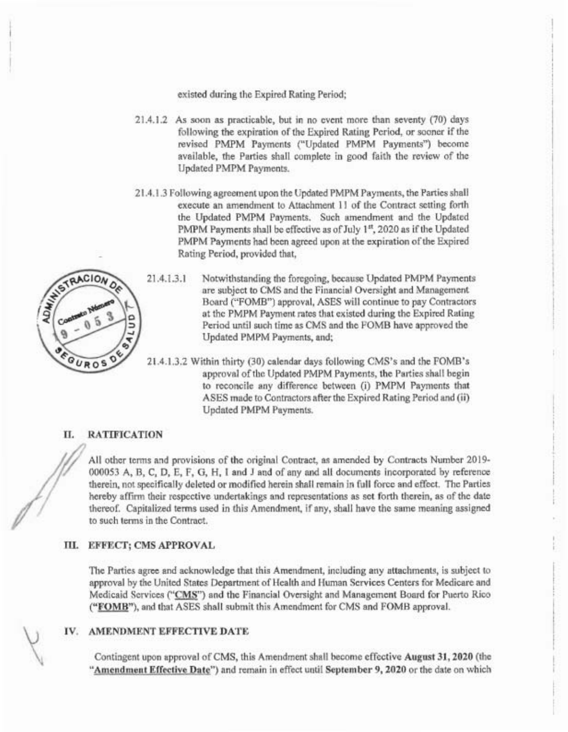existed during the Expired Rating Period;

- 21.4.1.2 As soon as practicable, but in no event more than seventy (70) days following the expiration of the Expired Rating Period, or sooner if the revised PMPM Payments ("Updated PMPM Payments") become available, the Patties shall complete in good faith the review of the Updated PMPM Payments.
- 21.4.1.3 Following agreement upon the Updated PMPM Payments, the Patties shall execute an amendment to Attachment 11 of the Contract setting forth the Updated PMPM Payments. Such amendment and the Updated PMPM Payments shall be effective as of July 1<sup>st</sup>, 2020 as if the Updated PMPM Payments had been agreed upon at the expiration of the Expired Rating Period, provided that,



- 21.4.1.3.1 Notwithstanding the foregoing, because Updated PMPM Payments are subject to CMS and the Financial Oversight and Management Board ("FOMB") approval, ASES will continue to pay Contractors at the PMPM Payment rates that existed during the Expired Rating Period until such time as CMS and the FOMB have approved the Updated PMPM Payments, and;
- 21.4.1.3.2 Within thitty (30) calendar days following CMS's and the FOMB's approval of the Updated PMPM Payments, the Parties shall begin to reconcile any difference between (i) PMPM Payments that ASES made to Contractors after the Expired Rating Period and (ii) Updated PMPM Payments.

### II. RATIFICATION

All other terms and provisions of the original Contract, as amended by Contracts Number 2019- 000053 A, B, C, D, E, F, G, H, I and J and of any and all documents incorporated by reference therein, not specifically deleted or modified herein shall remain in full force and effect. The Patties hereby affirm their respective undertakings and representations as set forth therein, as of the date thereof. Capitalized terms used in this Amendment, if any, shall have the same meaning assigned to such terms in the Contract.

#### III. EFFECT; CMS APPROVAL

The Patties agree and acknowledge that this Amendment, including any attachments, is subject to approval by the United States Department of Health and Human Services Centers for Medicare and Medicaid Services ("CMS") and the Financial Oversight and Management Board for Puerto Rico ("FOMB"), and that ASES shall submit this Amendment for CMS and FOMB approval.

#### IV. AMENDMENT EFFECTIVE DATE

Contingent upon approval of CMS, this Amendment shall become effective August 31,2020 (the "Amendment Effective Date") and remain in effect until September 9, 2020 or the date on which